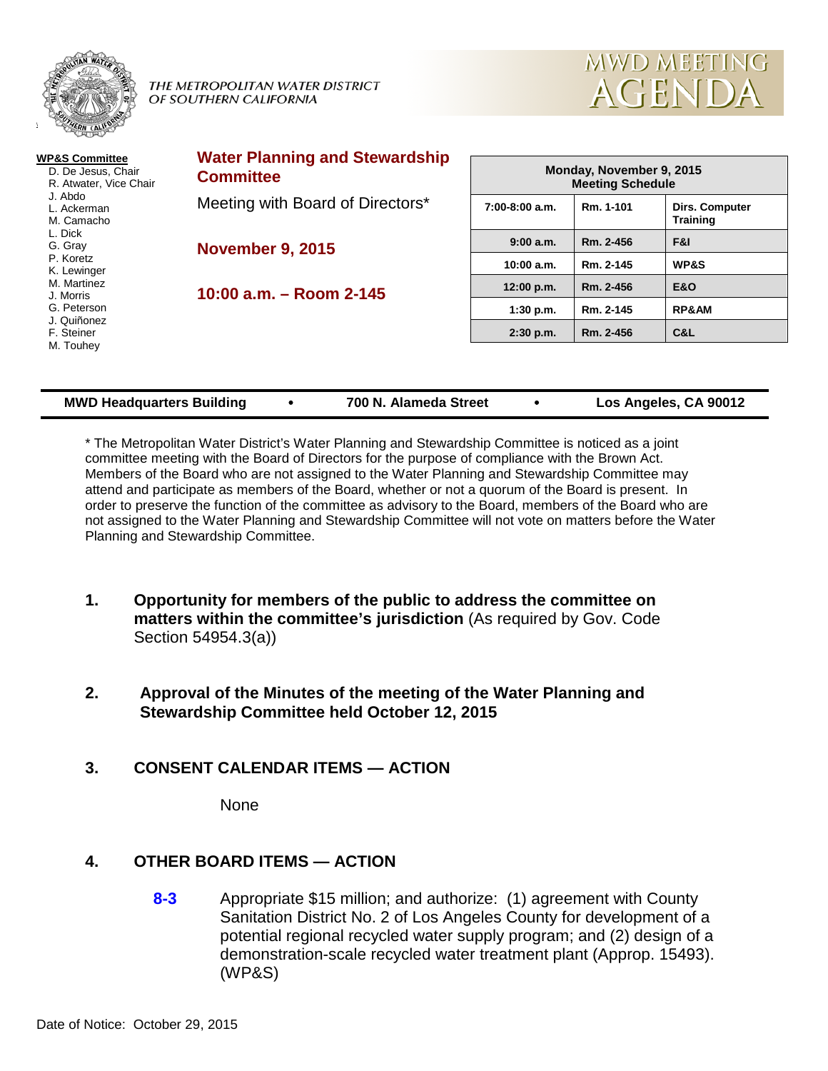

 $\overline{\phantom{a}}$ 

THE METROPOLITAN WATER DISTRICT OF SOUTHERN CALIFORNIA



| <b>WP&amp;S Committee</b><br>D. De Jesus, Chair<br>R. Atwater, Vice Chair<br>J. Abdo<br>L. Ackerman<br>M. Camacho<br>L. Dick<br>G. Gray<br>P. Koretz<br>K. Lewinger<br>M. Martinez<br>J. Morris<br>G. Peterson<br>J. Quiñonez<br>F. Steiner | <b>Water Planning and Stewardship</b><br><b>Committee</b> | Monday, November 9, 2015<br><b>Meeting Schedule</b> |           |                                          |  |  |
|---------------------------------------------------------------------------------------------------------------------------------------------------------------------------------------------------------------------------------------------|-----------------------------------------------------------|-----------------------------------------------------|-----------|------------------------------------------|--|--|
|                                                                                                                                                                                                                                             | Meeting with Board of Directors*                          | $7:00-8:00$ a.m.                                    | Rm. 1-101 | <b>Dirs. Computer</b><br><b>Training</b> |  |  |
|                                                                                                                                                                                                                                             | <b>November 9, 2015</b><br>10:00 $a.m. - Room$ 2-145      | 9:00a.m.                                            | Rm. 2-456 | F&I                                      |  |  |
|                                                                                                                                                                                                                                             |                                                           | $10:00$ a.m.                                        | Rm. 2-145 | <b>WP&amp;S</b>                          |  |  |
|                                                                                                                                                                                                                                             |                                                           | 12:00 p.m.                                          | Rm. 2-456 | <b>E&amp;O</b>                           |  |  |
|                                                                                                                                                                                                                                             |                                                           | $1:30$ p.m.                                         | Rm. 2-145 | <b>RP&amp;AM</b>                         |  |  |
|                                                                                                                                                                                                                                             |                                                           | $2:30$ p.m.                                         | Rm. 2-456 | C&L                                      |  |  |
| M. Touhey                                                                                                                                                                                                                                   |                                                           |                                                     |           |                                          |  |  |

| <b>MWD Headquarters Building</b> | 700 N. Alameda Street | Los Angeles, CA 90012 |
|----------------------------------|-----------------------|-----------------------|
|                                  |                       |                       |

\* The Metropolitan Water District's Water Planning and Stewardship Committee is noticed as a joint committee meeting with the Board of Directors for the purpose of compliance with the Brown Act. Members of the Board who are not assigned to the Water Planning and Stewardship Committee may attend and participate as members of the Board, whether or not a quorum of the Board is present. In order to preserve the function of the committee as advisory to the Board, members of the Board who are not assigned to the Water Planning and Stewardship Committee will not vote on matters before the Water Planning and Stewardship Committee.

- **1. Opportunity for members of the public to address the committee on matters within the committee's jurisdiction** (As required by Gov. Code Section 54954.3(a))
- **2. Approval of the Minutes of the meeting of the Water Planning and Stewardship Committee held October 12, 2015**

# **3. CONSENT CALENDAR ITEMS — ACTION**

None

# **4. OTHER BOARD ITEMS — ACTION**

**8-3** Appropriate \$15 million; and authorize: (1) agreement with County Sanitation District No. 2 of Los Angeles County for development of a potential regional recycled water supply program; and (2) design of a demonstration-scale recycled water treatment plant (Approp. 15493). (WP&S)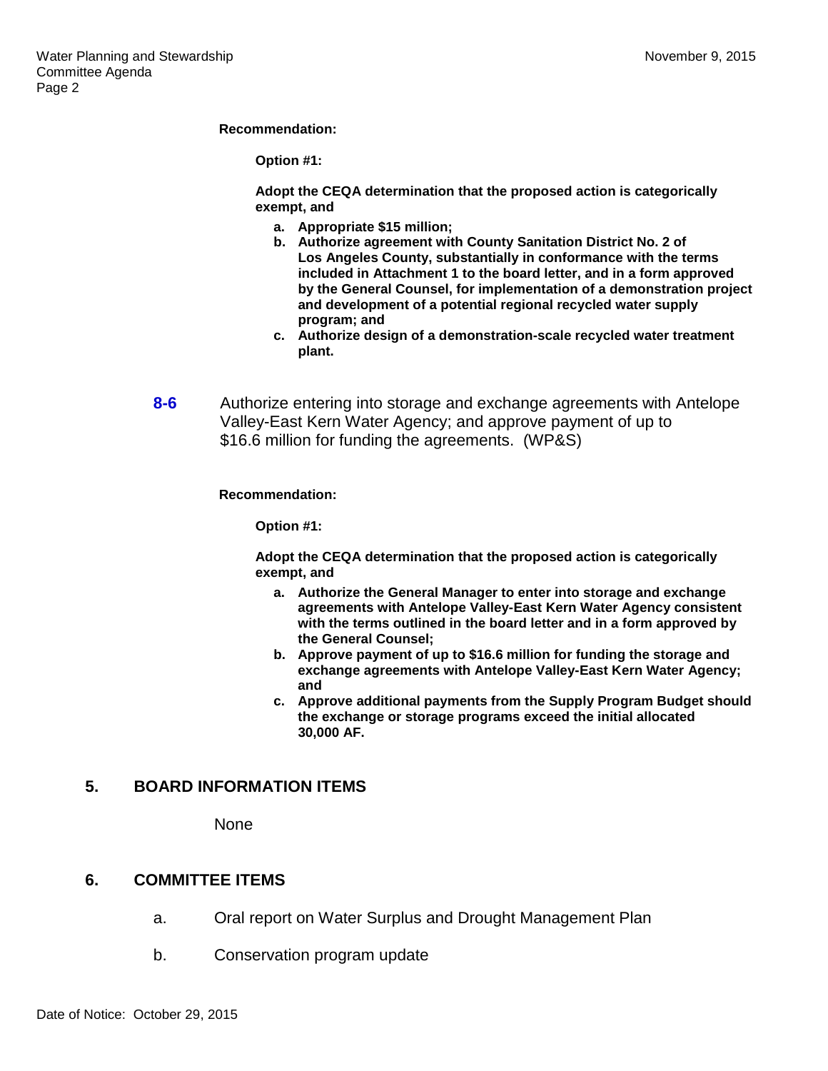#### **Recommendation:**

**Option #1:**

**Adopt the CEQA determination that the proposed action is categorically exempt, and**

- **a. Appropriate \$15 million;**
- **b. Authorize agreement with County Sanitation District No. 2 of Los Angeles County, substantially in conformance with the terms included in Attachment 1 to the board letter, and in a form approved by the General Counsel, for implementation of a demonstration project and development of a potential regional recycled water supply program; and**
- **c. Authorize design of a demonstration-scale recycled water treatment plant.**
- **8-6** Authorize entering into storage and exchange agreements with Antelope Valley-East Kern Water Agency; and approve payment of up to \$16.6 million for funding the agreements. (WP&S)

#### **Recommendation:**

**Option #1:**

**Adopt the CEQA determination that the proposed action is categorically exempt, and**

- **a. Authorize the General Manager to enter into storage and exchange agreements with Antelope Valley-East Kern Water Agency consistent with the terms outlined in the board letter and in a form approved by the General Counsel;**
- **b. Approve payment of up to \$16.6 million for funding the storage and exchange agreements with Antelope Valley-East Kern Water Agency; and**
- **c. Approve additional payments from the Supply Program Budget should the exchange or storage programs exceed the initial allocated 30,000 AF.**

## **5. BOARD INFORMATION ITEMS**

None

#### **6. COMMITTEE ITEMS**

- a. Oral report on Water Surplus and Drought Management Plan
- b. Conservation program update